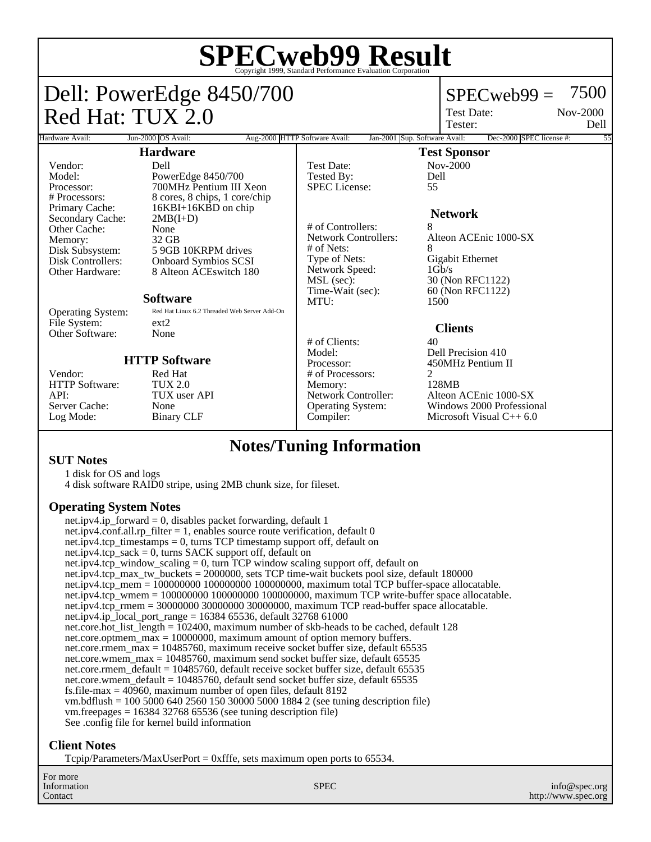# **SPECweb99 Result** Copyright 1999, Standard Performance Evaluation Corporation

## Dell: PowerEdge 8450/700 Red Hat: TUX 2.0

## $SPECweb99 = 7500$

Test Date: Tester:

Nov-2000 Dell

#### Hardware Avail: Jun-2000 OS Avail: Aug-2000 HTTP Software Avail: Jan-2001 Sup. Software Avail: Dec-2000 SPEC license #: **Hardware** Vendor: Dell<br>Model: Powe Model: PowerEdge 8450/700<br>Processor: 700MHz Pentium III Processor: 700MHz Pentium III Xeon<br>
# Processors: 8 cores. 8 chips. 1 core/chip # Processors: 8 cores, 8 chips, 1 core/chip  $16KBI+16K\overline{B}D$  on chip<br> $2MB(I+D)$ Secondary Cache: 2MB<br>Other Cache: None Other Cache: None<br>
Memory: 32 GB Memory:<br>Disk Subsystem: Disk Subsystem: 5 9GB 10KRPM drives<br>Disk Controllers: 0nboard Symbios SCSI Onboard Symbios SCSI Other Hardware: 8 Alteon ACEswitch 180 **Software** Operating System: Red Hat Linux 6.2 Threaded Web Server Add-On<br>File System: ext2 File System: ext2<br>Other Software: None Other Software: **HTTP Software** Vendor: Red Hat<br>HTTP Software: TUX 2.0 HTTP Software: API: TUX user API<br>Server Cache: None Server Cache:<br>Log Mode: Binary CLF **Test Sponsor** Test Date: Nov-2000<br>Tested By: Dell Tested By: De<br>SPEC License: 55 SPEC License: **Network** # of Controllers: 8 Alteon ACEnic 1000-SX # of Nets:<br>Type of Nets: Gigabit Ethernet<br>1Gb/s Network Speed:<br>MSL (sec): MSL (sec): 30 (Non RFC1122)<br>Time-Wait (sec): 60 (Non RFC1122) 60 (Non RFC1122) MTU: 1500 **Clients**  $# \text{ of Clients:}$  40 Model: Dell Precision 410<br>Processor: 450MHz Pentium 1 450MHz Pentium II # of Processors: 2<br>Memory: 2128MB Memory:<br>Network Controller: Alteon ACEnic 1000-SX Operating System: Windows 2000 Professional Compiler: Microsoft Visual C++ 6.0

## **Notes/Tuning Information**

#### **SUT Notes**

1 disk for OS and logs 4 disk software RAID0 stripe, using 2MB chunk size, for fileset.

#### **Operating System Notes**

net.ipv4.ip\_forward = 0, disables packet forwarding, default 1 net.ipv4.conf.all.rp\_filter = 1, enables source route verification, default 0 net.ipv4.tcp\_timestamps  $= 0$ , turns TCP timestamp support off, default on net.ipv4.tcp\_sack  $= 0$ , turns SACK support off, default on net.ipv4.tcp\_window\_scaling = 0, turn TCP window scaling support off, default on net.ipv4.tcp\_max\_tw\_buckets = 2000000, sets TCP time-wait buckets pool size, default 180000 net.ipv4.tcp\_mem = 100000000 100000000 100000000, maximum total TCP buffer-space allocatable. net.ipv4.tcp\_wmem = 100000000 100000000 100000000, maximum TCP write-buffer space allocatable. net.ipv4.tcp\_rmem = 30000000 30000000 30000000, maximum TCP read-buffer space allocatable. net.ipv4.ip\_local\_port\_range = 16384 65536, default  $32768\,61000$ net.core.hot\_list\_length = 102400, maximum number of skb-heads to be cached, default 128 net.core.optmem\_max = 10000000, maximum amount of option memory buffers. net.core.rmem\_max = 10485760, maximum receive socket buffer size, default 65535 net.core.wmem\_max = 10485760, maximum send socket buffer size, default 65535 net.core.rmem\_default = 10485760, default receive socket buffer size, default 65535 net.core.wmem\_default = 10485760, default send socket buffer size, default 65535 fs.file-max  $=$  40960, maximum number of open files, default 8192 vm.bdflush = 100 5000 640 2560 150 30000 5000 1884 2 (see tuning description file) vm.freepages = 16384 32768 65536 (see tuning description file) See .config file for kernel build information

### **Client Notes**

Tcpip/Parameters/MaxUserPort = 0xfffe, sets maximum open ports to 65534.